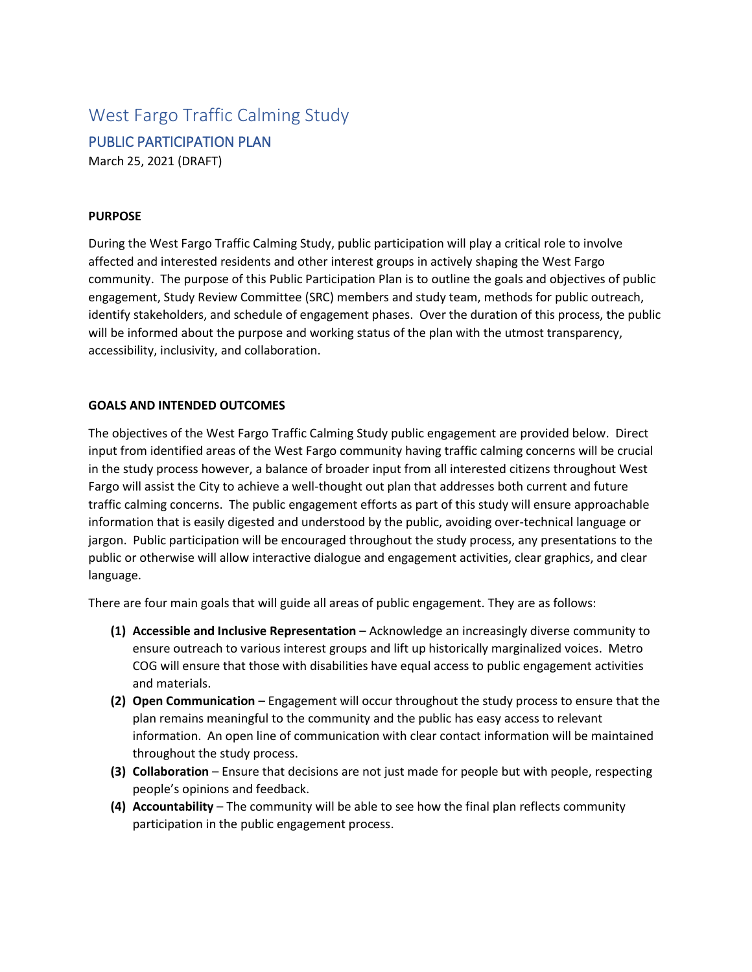# West Fargo Traffic Calming Study PUBLIC PARTICIPATION PLAN March 25, 2021 (DRAFT)

#### **PURPOSE**

During the West Fargo Traffic Calming Study, public participation will play a critical role to involve affected and interested residents and other interest groups in actively shaping the West Fargo community. The purpose of this Public Participation Plan is to outline the goals and objectives of public engagement, Study Review Committee (SRC) members and study team, methods for public outreach, identify stakeholders, and schedule of engagement phases. Over the duration of this process, the public will be informed about the purpose and working status of the plan with the utmost transparency, accessibility, inclusivity, and collaboration.

#### **GOALS AND INTENDED OUTCOMES**

The objectives of the West Fargo Traffic Calming Study public engagement are provided below. Direct input from identified areas of the West Fargo community having traffic calming concerns will be crucial in the study process however, a balance of broader input from all interested citizens throughout West Fargo will assist the City to achieve a well-thought out plan that addresses both current and future traffic calming concerns. The public engagement efforts as part of this study will ensure approachable information that is easily digested and understood by the public, avoiding over-technical language or jargon. Public participation will be encouraged throughout the study process, any presentations to the public or otherwise will allow interactive dialogue and engagement activities, clear graphics, and clear language.

There are four main goals that will guide all areas of public engagement. They are as follows:

- **(1) Accessible and Inclusive Representation** Acknowledge an increasingly diverse community to ensure outreach to various interest groups and lift up historically marginalized voices. Metro COG will ensure that those with disabilities have equal access to public engagement activities and materials.
- **(2) Open Communication** Engagement will occur throughout the study process to ensure that the plan remains meaningful to the community and the public has easy access to relevant information. An open line of communication with clear contact information will be maintained throughout the study process.
- **(3) Collaboration** Ensure that decisions are not just made for people but with people, respecting people's opinions and feedback.
- **(4) Accountability** The community will be able to see how the final plan reflects community participation in the public engagement process.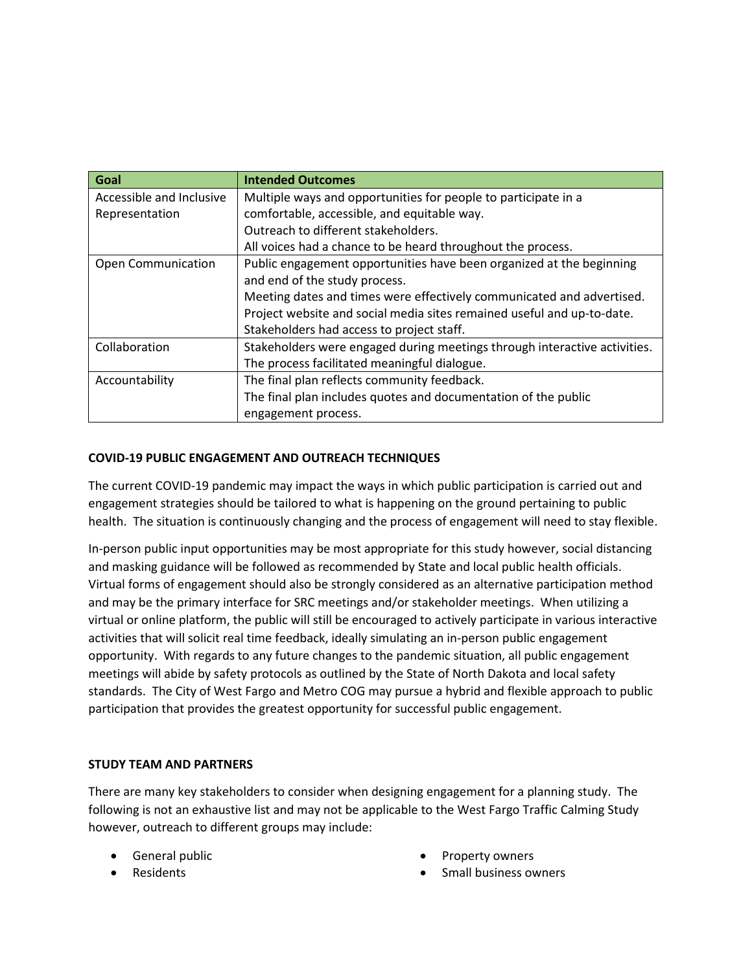| Goal                      | <b>Intended Outcomes</b>                                                  |
|---------------------------|---------------------------------------------------------------------------|
| Accessible and Inclusive  | Multiple ways and opportunities for people to participate in a            |
| Representation            | comfortable, accessible, and equitable way.                               |
|                           | Outreach to different stakeholders.                                       |
|                           | All voices had a chance to be heard throughout the process.               |
| <b>Open Communication</b> | Public engagement opportunities have been organized at the beginning      |
|                           | and end of the study process.                                             |
|                           | Meeting dates and times were effectively communicated and advertised.     |
|                           | Project website and social media sites remained useful and up-to-date.    |
|                           | Stakeholders had access to project staff.                                 |
| Collaboration             | Stakeholders were engaged during meetings through interactive activities. |
|                           | The process facilitated meaningful dialogue.                              |
| Accountability            | The final plan reflects community feedback.                               |
|                           | The final plan includes quotes and documentation of the public            |
|                           | engagement process.                                                       |

## **COVID-19 PUBLIC ENGAGEMENT AND OUTREACH TECHNIQUES**

The current COVID-19 pandemic may impact the ways in which public participation is carried out and engagement strategies should be tailored to what is happening on the ground pertaining to public health. The situation is continuously changing and the process of engagement will need to stay flexible.

In-person public input opportunities may be most appropriate for this study however, social distancing and masking guidance will be followed as recommended by State and local public health officials. Virtual forms of engagement should also be strongly considered as an alternative participation method and may be the primary interface for SRC meetings and/or stakeholder meetings. When utilizing a virtual or online platform, the public will still be encouraged to actively participate in various interactive activities that will solicit real time feedback, ideally simulating an in-person public engagement opportunity. With regards to any future changes to the pandemic situation, all public engagement meetings will abide by safety protocols as outlined by the State of North Dakota and local safety standards. The City of West Fargo and Metro COG may pursue a hybrid and flexible approach to public participation that provides the greatest opportunity for successful public engagement.

### **STUDY TEAM AND PARTNERS**

There are many key stakeholders to consider when designing engagement for a planning study. The following is not an exhaustive list and may not be applicable to the West Fargo Traffic Calming Study however, outreach to different groups may include:

- General public
- Residents
- Property owners
- Small business owners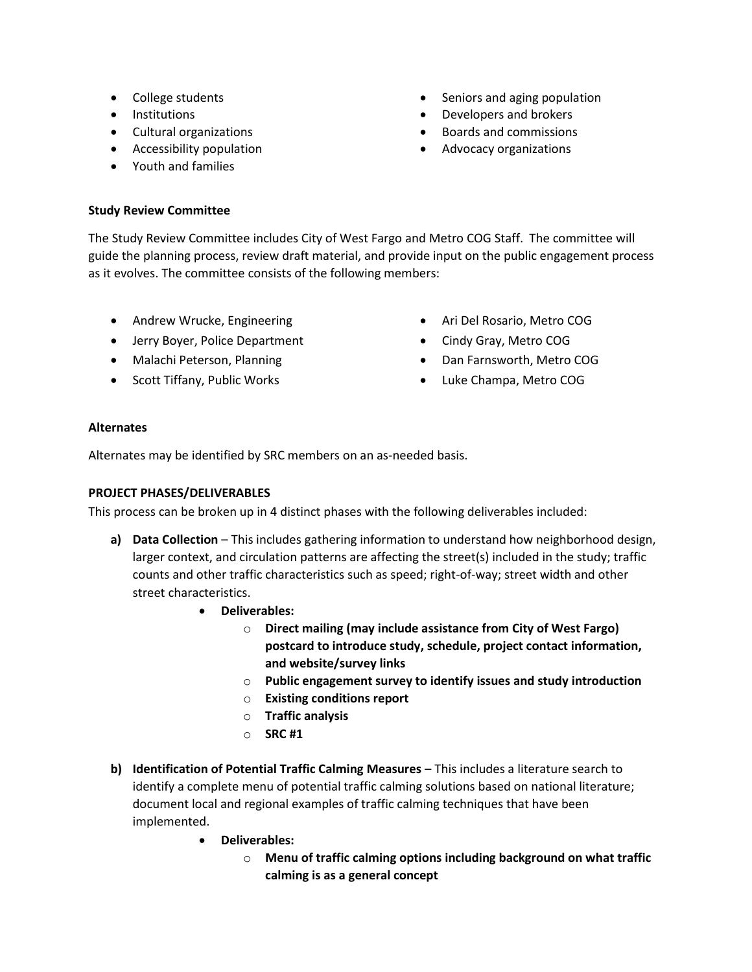- College students
- Institutions
- Cultural organizations
- Accessibility population
- Youth and families
- Seniors and aging population
- Developers and brokers
- Boards and commissions
- Advocacy organizations

### **Study Review Committee**

The Study Review Committee includes City of West Fargo and Metro COG Staff. The committee will guide the planning process, review draft material, and provide input on the public engagement process as it evolves. The committee consists of the following members:

- Andrew Wrucke, Engineering
- Jerry Boyer, Police Department
- Malachi Peterson, Planning
- Scott Tiffany, Public Works
- Ari Del Rosario, Metro COG
- Cindy Gray, Metro COG
- Dan Farnsworth, Metro COG
- Luke Champa, Metro COG

### **Alternates**

Alternates may be identified by SRC members on an as-needed basis.

### **PROJECT PHASES/DELIVERABLES**

This process can be broken up in 4 distinct phases with the following deliverables included:

- **a) Data Collection** This includes gathering information to understand how neighborhood design, larger context, and circulation patterns are affecting the street(s) included in the study; traffic counts and other traffic characteristics such as speed; right-of-way; street width and other street characteristics.
	- **Deliverables:**
		- o **Direct mailing (may include assistance from City of West Fargo) postcard to introduce study, schedule, project contact information, and website/survey links**
		- o **Public engagement survey to identify issues and study introduction**
		- o **Existing conditions report**
		- o **Traffic analysis**
		- o **SRC #1**
- **b) Identification of Potential Traffic Calming Measures** This includes a literature search to identify a complete menu of potential traffic calming solutions based on national literature; document local and regional examples of traffic calming techniques that have been implemented.
	- **Deliverables:**
		- o **Menu of traffic calming options including background on what traffic calming is as a general concept**